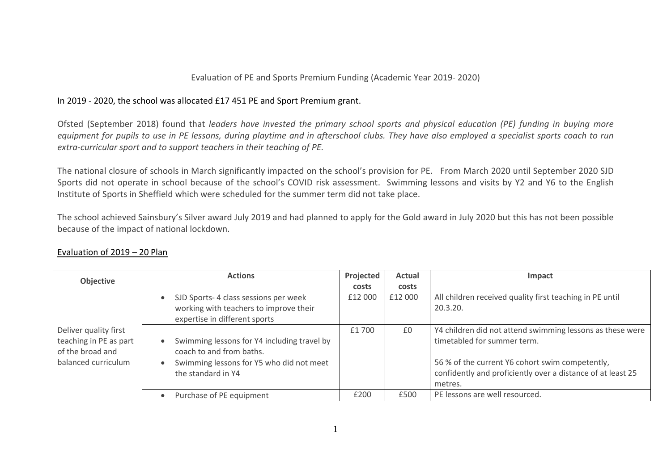### Evaluation of PE and Sports Premium Funding (Academic Year 2019- 2020)

# In 2019 - 2020, the school was allocated £17 451 PE and Sport Premium grant.

Ofsted (September 2018) found that leaders have invested the primary school sports and physical education (PE) funding in buying more equipment for pupils to use in PE lessons, during playtime and in afterschool clubs. They have also employed a specialist sports coach to run *extra-curricular sport and to support teachers in their teaching of PE.*

The national closure of schools in March significantly impacted on the school's provision for PE. From March 2020 until September 2020 SJD Sports did not operate in school because of the school's COVID risk assessment. Swimming lessons and visits by Y2 and Y6 to the English Institute of Sports in Sheffield which were scheduled for the summer term did not take place.

The school achieved Sainsbury's Silver award July 2019 and had planned to apply for the Gold award in July 2020 but this has not been possible because of the impact of national lockdown.

| <b>Objective</b>                                                                           | <b>Actions</b>                                                                                                                            | Projected<br>costs | Actual<br>costs | Impact                                                                                                                                                                                                                |
|--------------------------------------------------------------------------------------------|-------------------------------------------------------------------------------------------------------------------------------------------|--------------------|-----------------|-----------------------------------------------------------------------------------------------------------------------------------------------------------------------------------------------------------------------|
|                                                                                            | SJD Sports- 4 class sessions per week<br>working with teachers to improve their<br>expertise in different sports                          | £12 000            | £12 000         | All children received quality first teaching in PE until<br>20.3.20.                                                                                                                                                  |
| Deliver quality first<br>teaching in PE as part<br>of the broad and<br>balanced curriculum | Swimming lessons for Y4 including travel by<br>coach to and from baths.<br>Swimming lessons for Y5 who did not meet<br>the standard in Y4 | £1 700             | £0              | Y4 children did not attend swimming lessons as these were<br>timetabled for summer term.<br>56 % of the current Y6 cohort swim competently,<br>confidently and proficiently over a distance of at least 25<br>metres. |
|                                                                                            | Purchase of PE equipment                                                                                                                  | £200               | £500            | PE lessons are well resourced.                                                                                                                                                                                        |

# Evaluation of 2019 – 20 Plan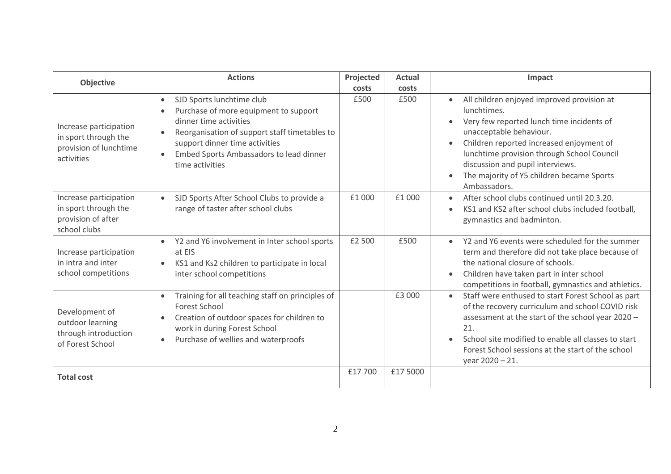| Objective                                                                              | <b>Actions</b>                                                                                                                                                                                                                                | Projected<br>costs | <b>Actual</b><br>costs | Impact                                                                                                                                                                                                                                                                                                                       |
|----------------------------------------------------------------------------------------|-----------------------------------------------------------------------------------------------------------------------------------------------------------------------------------------------------------------------------------------------|--------------------|------------------------|------------------------------------------------------------------------------------------------------------------------------------------------------------------------------------------------------------------------------------------------------------------------------------------------------------------------------|
| Increase participation<br>in sport through the<br>provision of lunchtime<br>activities | SJD Sports lunchtime club<br>Purchase of more equipment to support<br>dinner time activities<br>Reorganisation of support staff timetables to<br>support dinner time activities<br>Embed Sports Ambassadors to lead dinner<br>time activities | £500               | £500                   | All children enjoyed improved provision at<br>lunchtimes.<br>Very few reported lunch time incidents of<br>unacceptable behaviour.<br>Children reported increased enjoyment of<br>lunchtime provision through School Council<br>discussion and pupil interviews.<br>The majority of Y5 children became Sports<br>Ambassadors. |
| Increase participation<br>in sport through the<br>provision of after<br>school clubs   | SJD Sports After School Clubs to provide a<br>range of taster after school clubs                                                                                                                                                              | £1000              | £1 000                 | After school clubs continued until 20.3.20.<br>KS1 and KS2 after school clubs included football,<br>gymnastics and badminton.                                                                                                                                                                                                |
| Increase participation<br>in intra and inter<br>school competitions                    | Y2 and Y6 involvement in Inter school sports<br>$\bullet$<br>at EIS<br>KS1 and Ks2 children to participate in local<br>inter school competitions                                                                                              | £2 500             | £500                   | Y2 and Y6 events were scheduled for the summer<br>$\bullet$<br>term and therefore did not take place because of<br>the national closure of schools.<br>Children have taken part in inter school<br>competitions in football, gymnastics and athletics.                                                                       |
| Development of<br>outdoor learning<br>through introduction<br>of Forest School         | Training for all teaching staff on principles of<br><b>Forest School</b><br>Creation of outdoor spaces for children to<br>work in during Forest School<br>Purchase of wellies and waterproofs                                                 |                    | £3 000                 | Staff were enthused to start Forest School as part<br>of the recovery curriculum and school COVID risk<br>assessment at the start of the school year 2020 -<br>21.<br>School site modified to enable all classes to start<br>Forest School sessions at the start of the school<br>year 2020 - 21.                            |
| <b>Total cost</b>                                                                      |                                                                                                                                                                                                                                               | £17700             | £17 5000               |                                                                                                                                                                                                                                                                                                                              |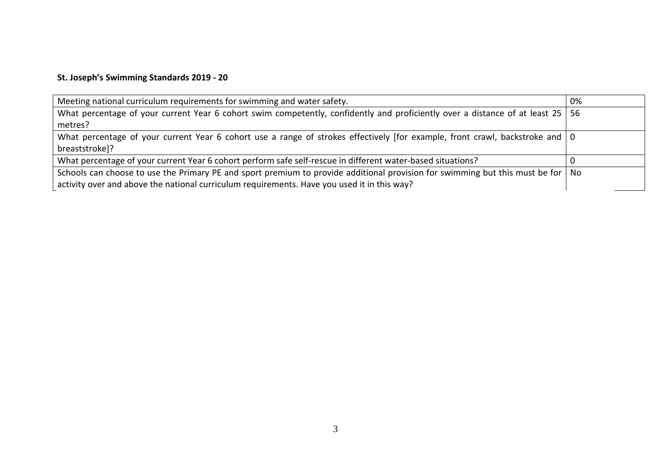# **St. Joseph's Swimming Standards 2019 - 20**

| Meeting national curriculum requirements for swimming and water safety.                                                           | 0% |  |
|-----------------------------------------------------------------------------------------------------------------------------------|----|--|
| What percentage of your current Year 6 cohort swim competently, confidently and proficiently over a distance of at least 25   56  |    |  |
| metres?                                                                                                                           |    |  |
| What percentage of your current Year 6 cohort use a range of strokes effectively [for example, front crawl, backstroke and   0    |    |  |
| breaststroke]?                                                                                                                    |    |  |
| What percentage of your current Year 6 cohort perform safe self-rescue in different water-based situations?                       |    |  |
| Schools can choose to use the Primary PE and sport premium to provide additional provision for swimming but this must be for   No |    |  |
| activity over and above the national curriculum requirements. Have you used it in this way?                                       |    |  |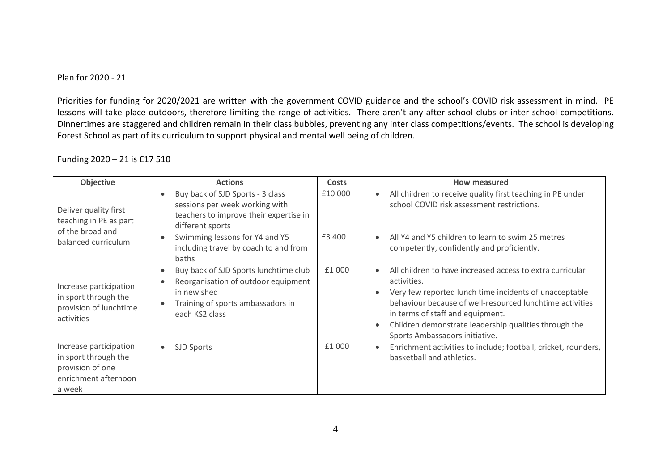#### Plan for 2020 - 21

Priorities for funding for 2020/2021 are written with the government COVID guidance and the school's COVID risk assessment in mind. PE lessons will take place outdoors, therefore limiting the range of activities. There aren't any after school clubs or inter school competitions. Dinnertimes are staggered and children remain in their class bubbles, preventing any inter class competitions/events. The school is developing Forest School as part of its curriculum to support physical and mental well being of children.

### Funding 2020 – 21 is £17 510

| <b>Objective</b>                                                                                     | <b>Actions</b>                                                                                                                                     | <b>Costs</b> | <b>How measured</b>                                                                                                                                                                                                                                                                                                           |
|------------------------------------------------------------------------------------------------------|----------------------------------------------------------------------------------------------------------------------------------------------------|--------------|-------------------------------------------------------------------------------------------------------------------------------------------------------------------------------------------------------------------------------------------------------------------------------------------------------------------------------|
| Deliver quality first<br>teaching in PE as part                                                      | Buy back of SJD Sports - 3 class<br>sessions per week working with<br>teachers to improve their expertise in<br>different sports                   | £10 000      | All children to receive quality first teaching in PE under<br>$\bullet$<br>school COVID risk assessment restrictions.                                                                                                                                                                                                         |
| of the broad and<br>balanced curriculum                                                              | Swimming lessons for Y4 and Y5<br>$\bullet$<br>including travel by coach to and from<br>baths                                                      | £3 400       | All Y4 and Y5 children to learn to swim 25 metres<br>competently, confidently and proficiently.                                                                                                                                                                                                                               |
| Increase participation<br>in sport through the<br>provision of lunchtime<br>activities               | Buy back of SJD Sports lunchtime club<br>Reorganisation of outdoor equipment<br>in new shed<br>Training of sports ambassadors in<br>each KS2 class | £1 000       | All children to have increased access to extra curricular<br>activities.<br>Very few reported lunch time incidents of unacceptable<br>behaviour because of well-resourced lunchtime activities<br>in terms of staff and equipment.<br>Children demonstrate leadership qualities through the<br>Sports Ambassadors initiative. |
| Increase participation<br>in sport through the<br>provision of one<br>enrichment afternoon<br>a week | <b>SJD Sports</b><br>$\bullet$                                                                                                                     | £1 000       | Enrichment activities to include; football, cricket, rounders,<br>$\bullet$<br>basketball and athletics.                                                                                                                                                                                                                      |